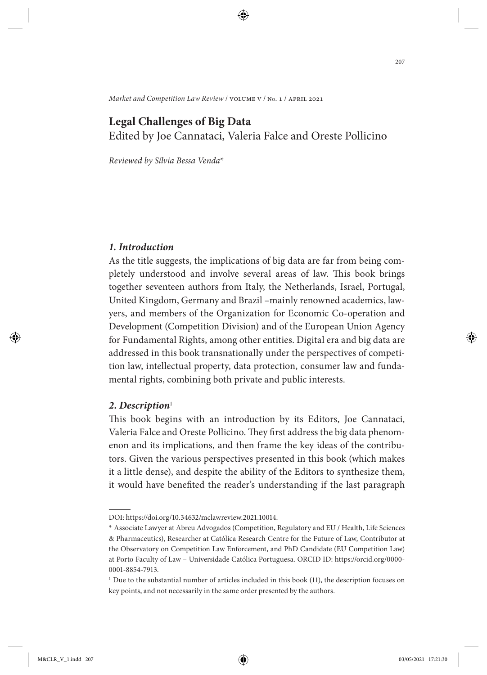*Market and Competition Law Review* / volume v / no. 1 / april 2021

# **Legal Challenges of Big Data**

Edited by Joe Cannataci, Valeria Falce and Oreste Pollicino

*Reviewed by Sílvia Bessa Venda*\*

### *1. Introduction*

As the title suggests, the implications of big data are far from being completely understood and involve several areas of law. This book brings together seventeen authors from Italy, the Netherlands, Israel, Portugal, United Kingdom, Germany and Brazil –mainly renowned academics, lawyers, and members of the Organization for Economic Co-operation and Development (Competition Division) and of the European Union Agency for Fundamental Rights, among other entities. Digital era and big data are addressed in this book transnationally under the perspectives of competition law, intellectual property, data protection, consumer law and fundamental rights, combining both private and public interests.

#### 2. Description<sup>1</sup>

This book begins with an introduction by its Editors, Joe Cannataci, Valeria Falce and Oreste Pollicino. They first address the big data phenomenon and its implications, and then frame the key ideas of the contributors. Given the various perspectives presented in this book (which makes it a little dense), and despite the ability of the Editors to synthesize them, it would have benefited the reader's understanding if the last paragraph

DOI: https://doi.org/10.34632/mclawreview.2021.10014.

<sup>\*</sup> Associate Lawyer at Abreu Advogados (Competition, Regulatory and EU / Health, Life Sciences & Pharmaceutics), Researcher at Católica Research Centre for the Future of Law, Contributor at the Observatory on Competition Law Enforcement, and PhD Candidate (EU Competition Law) at Porto Faculty of Law – Universidade Católica Portuguesa. ORCID ID: https://orcid.org/0000- 0001-8854-7913.

<sup>&</sup>lt;sup>1</sup> Due to the substantial number of articles included in this book (11), the description focuses on key points, and not necessarily in the same order presented by the authors.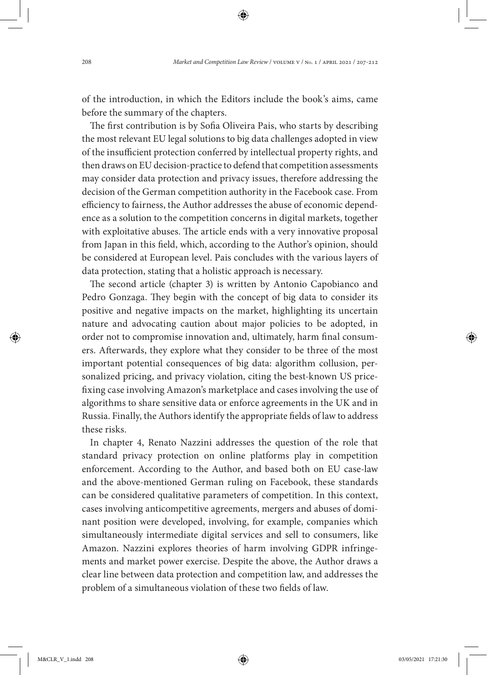of the introduction, in which the Editors include the book's aims, came before the summary of the chapters.

The first contribution is by Sofia Oliveira Pais, who starts by describing the most relevant EU legal solutions to big data challenges adopted in view of the insufficient protection conferred by intellectual property rights, and then draws on EU decision-practice to defend that competition assessments may consider data protection and privacy issues, therefore addressing the decision of the German competition authority in the Facebook case. From efficiency to fairness, the Author addresses the abuse of economic dependence as a solution to the competition concerns in digital markets, together with exploitative abuses. The article ends with a very innovative proposal from Japan in this field, which, according to the Author's opinion, should be considered at European level. Pais concludes with the various layers of data protection, stating that a holistic approach is necessary.

The second article (chapter 3) is written by Antonio Capobianco and Pedro Gonzaga. They begin with the concept of big data to consider its positive and negative impacts on the market, highlighting its uncertain nature and advocating caution about major policies to be adopted, in order not to compromise innovation and, ultimately, harm final consumers. Afterwards, they explore what they consider to be three of the most important potential consequences of big data: algorithm collusion, personalized pricing, and privacy violation, citing the best-known US pricefixing case involving Amazon's marketplace and cases involving the use of algorithms to share sensitive data or enforce agreements in the UK and in Russia. Finally, the Authors identify the appropriate fields of law to address these risks.

In chapter 4, Renato Nazzini addresses the question of the role that standard privacy protection on online platforms play in competition enforcement. According to the Author, and based both on EU case-law and the above-mentioned German ruling on Facebook, these standards can be considered qualitative parameters of competition. In this context, cases involving anticompetitive agreements, mergers and abuses of dominant position were developed, involving, for example, companies which simultaneously intermediate digital services and sell to consumers, like Amazon. Nazzini explores theories of harm involving GDPR infringements and market power exercise. Despite the above, the Author draws a clear line between data protection and competition law, and addresses the problem of a simultaneous violation of these two fields of law.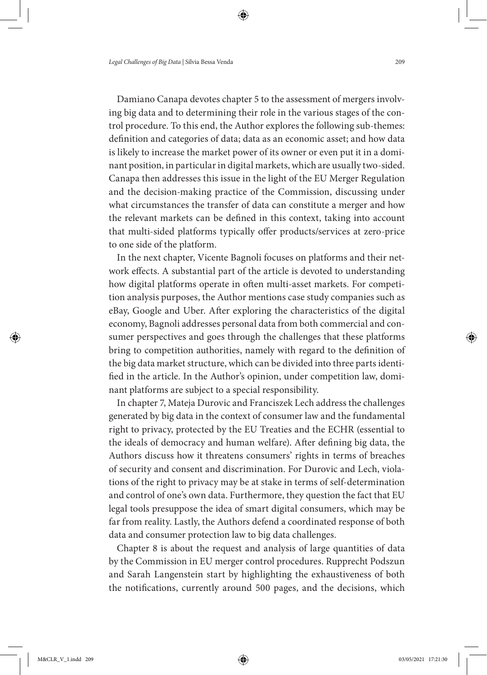Damiano Canapa devotes chapter 5 to the assessment of mergers involving big data and to determining their role in the various stages of the control procedure. To this end, the Author explores the following sub-themes: definition and categories of data; data as an economic asset; and how data is likely to increase the market power of its owner or even put it in a dominant position, in particular in digital markets, which are usually two-sided. Canapa then addresses this issue in the light of the EU Merger Regulation and the decision-making practice of the Commission, discussing under what circumstances the transfer of data can constitute a merger and how the relevant markets can be defined in this context, taking into account that multi-sided platforms typically offer products/services at zero-price to one side of the platform.

In the next chapter, Vicente Bagnoli focuses on platforms and their network effects. A substantial part of the article is devoted to understanding how digital platforms operate in often multi-asset markets. For competition analysis purposes, the Author mentions case study companies such as eBay, Google and Uber. After exploring the characteristics of the digital economy, Bagnoli addresses personal data from both commercial and consumer perspectives and goes through the challenges that these platforms bring to competition authorities, namely with regard to the definition of the big data market structure, which can be divided into three parts identified in the article. In the Author's opinion, under competition law, dominant platforms are subject to a special responsibility.

In chapter 7, Mateja Durovic and Franciszek Lech address the challenges generated by big data in the context of consumer law and the fundamental right to privacy, protected by the EU Treaties and the ECHR (essential to the ideals of democracy and human welfare). After defining big data, the Authors discuss how it threatens consumers' rights in terms of breaches of security and consent and discrimination. For Durovic and Lech, violations of the right to privacy may be at stake in terms of self-determination and control of one's own data. Furthermore, they question the fact that EU legal tools presuppose the idea of smart digital consumers, which may be far from reality. Lastly, the Authors defend a coordinated response of both data and consumer protection law to big data challenges.

Chapter 8 is about the request and analysis of large quantities of data by the Commission in EU merger control procedures. Rupprecht Podszun and Sarah Langenstein start by highlighting the exhaustiveness of both the notifications, currently around 500 pages, and the decisions, which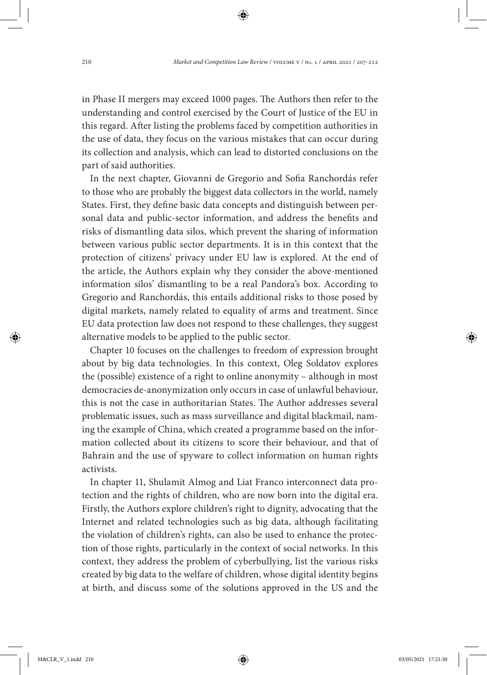in Phase II mergers may exceed 1000 pages. The Authors then refer to the understanding and control exercised by the Court of Justice of the EU in this regard. After listing the problems faced by competition authorities in the use of data, they focus on the various mistakes that can occur during its collection and analysis, which can lead to distorted conclusions on the part of said authorities.

In the next chapter, Giovanni de Gregorio and Sofia Ranchordás refer to those who are probably the biggest data collectors in the world, namely States. First, they define basic data concepts and distinguish between personal data and public-sector information, and address the benefits and risks of dismantling data silos, which prevent the sharing of information between various public sector departments. It is in this context that the protection of citizens' privacy under EU law is explored. At the end of the article, the Authors explain why they consider the above-mentioned information silos' dismantling to be a real Pandora's box. According to Gregorio and Ranchordás, this entails additional risks to those posed by digital markets, namely related to equality of arms and treatment. Since EU data protection law does not respond to these challenges, they suggest alternative models to be applied to the public sector.

Chapter 10 focuses on the challenges to freedom of expression brought about by big data technologies. In this context, Oleg Soldatov explores the (possible) existence of a right to online anonymity – although in most democracies de-anonymization only occurs in case of unlawful behaviour, this is not the case in authoritarian States. The Author addresses several problematic issues, such as mass surveillance and digital blackmail, naming the example of China, which created a programme based on the information collected about its citizens to score their behaviour, and that of Bahrain and the use of spyware to collect information on human rights activists.

In chapter 11, Shulamit Almog and Liat Franco interconnect data protection and the rights of children, who are now born into the digital era. Firstly, the Authors explore children's right to dignity, advocating that the Internet and related technologies such as big data, although facilitating the violation of children's rights, can also be used to enhance the protection of those rights, particularly in the context of social networks. In this context, they address the problem of cyberbullying, list the various risks created by big data to the welfare of children, whose digital identity begins at birth, and discuss some of the solutions approved in the US and the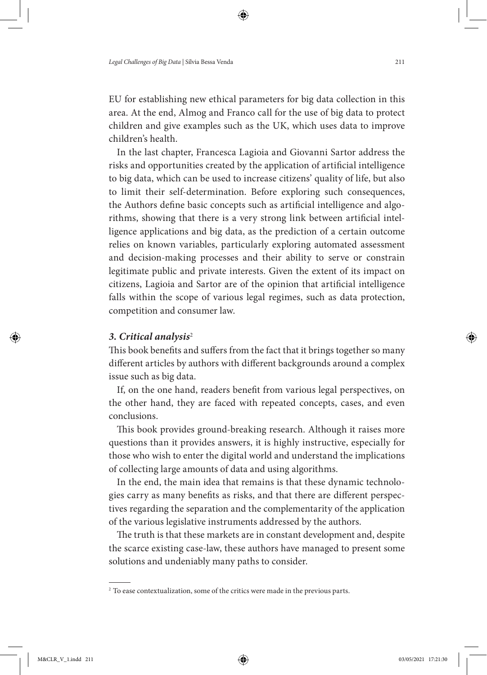EU for establishing new ethical parameters for big data collection in this area. At the end, Almog and Franco call for the use of big data to protect children and give examples such as the UK, which uses data to improve children's health.

In the last chapter, Francesca Lagioia and Giovanni Sartor address the risks and opportunities created by the application of artificial intelligence to big data, which can be used to increase citizens' quality of life, but also to limit their self-determination. Before exploring such consequences, the Authors define basic concepts such as artificial intelligence and algorithms, showing that there is a very strong link between artificial intelligence applications and big data, as the prediction of a certain outcome relies on known variables, particularly exploring automated assessment and decision-making processes and their ability to serve or constrain legitimate public and private interests. Given the extent of its impact on citizens, Lagioia and Sartor are of the opinion that artificial intelligence falls within the scope of various legal regimes, such as data protection, competition and consumer law.

#### *3. Critical analysis*<sup>2</sup>

This book benefits and suffers from the fact that it brings together so many different articles by authors with different backgrounds around a complex issue such as big data.

If, on the one hand, readers benefit from various legal perspectives, on the other hand, they are faced with repeated concepts, cases, and even conclusions.

This book provides ground-breaking research. Although it raises more questions than it provides answers, it is highly instructive, especially for those who wish to enter the digital world and understand the implications of collecting large amounts of data and using algorithms.

In the end, the main idea that remains is that these dynamic technologies carry as many benefits as risks, and that there are different perspectives regarding the separation and the complementarity of the application of the various legislative instruments addressed by the authors.

The truth is that these markets are in constant development and, despite the scarce existing case-law, these authors have managed to present some solutions and undeniably many paths to consider.

<sup>&</sup>lt;sup>2</sup> To ease contextualization, some of the critics were made in the previous parts.